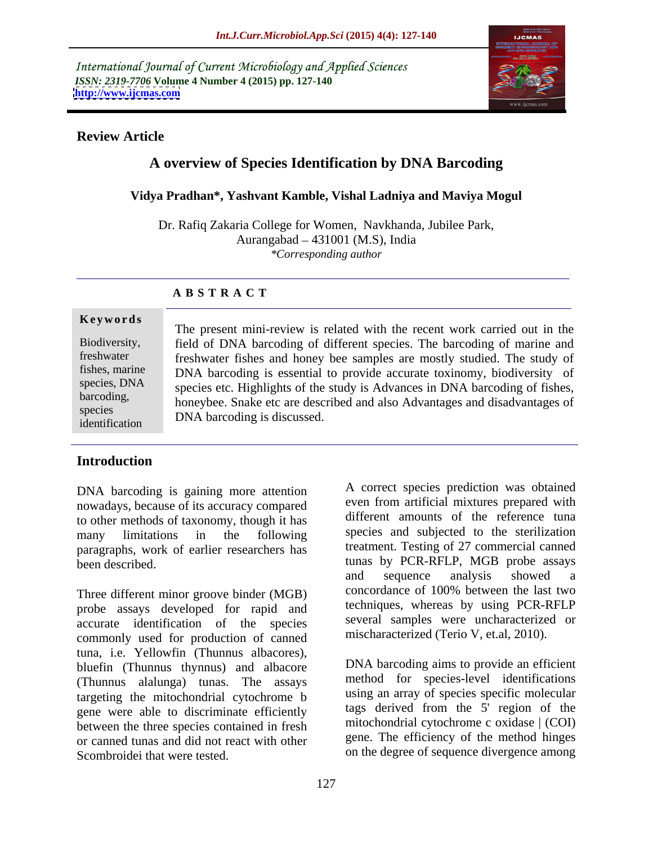International Journal of Current Microbiology and Applied Sciences *ISSN: 2319-7706* **Volume 4 Number 4 (2015) pp. 127-140 <http://www.ijcmas.com>**



### **Review Article**

# **A overview of Species Identification by DNA Barcoding**

#### **Vidya Pradhan\*, Yashvant Kamble, Vishal Ladniya and Maviya Mogul**

Dr. Rafiq Zakaria College for Women, Navkhanda, Jubilee Park, Aurangabad  $-431001$  (M.S), India *\*Corresponding author*

### **A B S T R A C T**

identification

The present mini-review is related with the recent work carried out in the field of DNA barcoding of different species. The barcoding of marine and Biodiversity, freshwater fishes and honey bee samples are mostly studied. The study of freshwater fishes, marine DNA barcoding is essential to provide accurate toxinomy, biodiversity of species, DNA species etc. Highlights of the study is Advances in DNA barcoding of fishes, barcoding,<br>honeybee. Snake etc are described and also Advantages and disadvantages of **Keywords**<br>
The present mini-review is related with the recent work carried out in the<br>
Biodiversity,<br>
field of DNA barcoding of different species. The barcoding of marine and<br>
freshwater<br>
fishes, marine<br>
DNA barcoding is species DNA homoding is discussed

## **Introduction**

DNA barcoding is gaining more attention nowadays, because of its accuracy compared to other methods of taxonomy, though it has paragraphs, work of earlier researchers has

probe assays developed for rapid and accurate identification of the species commonly used for production of canned tuna, i.e. Yellowfin (Thunnus albacores), bluefin (Thunnus thynnus) and albacore (Thunnus alalunga) tunas. The assays targeting the mitochondrial cytochrome b gene were able to discriminate efficiently between the three species contained in fresh or canned tunas and did not react with other Scombroidei that were tested. The on the degree of sequence divergence among

many limitations in the following species and subjected to the sterilization been described. tunas by PCR-RFLP, MGB probe assays Three different minor groove binder (MGB) concordance of 100% between the last two A correct species prediction was obtained even from artificial mixtures prepared with different amounts of the reference tuna species and subjected to the sterilization treatment. Testing of 27 commercial canned and sequence analysis showed a concordance of 100% between the last two techniques, whereas by using PCR-RFLP several samples were uncharacterized or mischaracterized (Terio V, et.al, 2010).

> DNA barcoding aims to provide an efficient method for species-level identifications using an array of species specific molecular tags derived from the 5' region of the mitochondrial cytochrome c oxidase | (COI) gene. The efficiency of the method hinges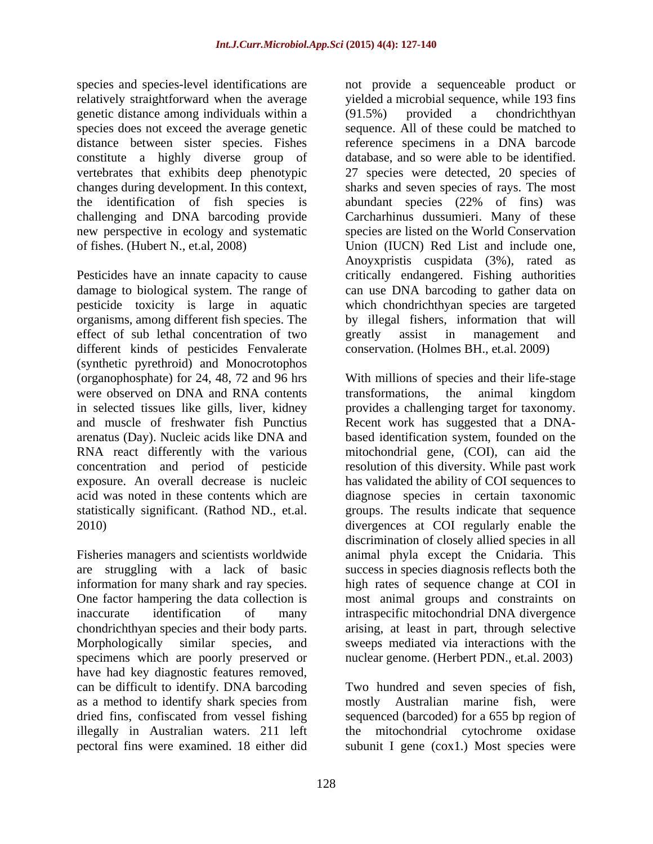genetic distance among individuals within a (91.5%) provided a chondrichthyan constitute a highly diverse group of challenging and DNA barcoding provide new perspective in ecology and systematic

Pesticides have an innate capacity to cause damage to biological system. The range of effect of sub lethal concentration of two spreatly assist in management and different kinds of pesticides Fenvalerate (synthetic pyrethroid) and Monocrotophos were observed on DNA and RNA contents transformations, the animal kingdom and muscle of freshwater fish Punctius

specimens which are poorly preserved or have had key diagnostic features removed,<br>can be difficult to identify. DNA barcoding can be difficult to identify. DNA barcoding Two hundred and seven species of fish, as a method to identify shark species from mostly Australian marine fish, were dried fins, confiscated from vessel fishing sequenced (barcoded) for a 655 bp region of illegally in Australian waters. 211 left the mitochondrial cytochrome oxidase pectoral fins were examined. 18 either did subunit I gene (cox1.) Most species were

species and species-level identifications are not provide a sequenceable product or relatively straightforward when the average yielded a microbial sequence, while 193 fins species does not exceed the average genetic sequence. All of these could be matched to distance between sister species. Fishes reference specimens in a DNA barcode vertebrates that exhibits deep phenotypic 27 species were detected, 20 species of changes during development. In this context, sharks and seven species of rays. The most the identification of fish species is abundant species (22% of fins) was of fishes. (Hubert N., et.al, 2008) Union (IUCN) Red List and include one, pesticide toxicity is large in aquatic which chondrichthyan species are targeted organisms, among different fish species. The by illegal fishers, information that will (91.5%) provided a chondrichthyan database, and so were able to be identified. Carcharhinus dussumieri. Many of these species are listed on the World Conservation Anoyxpristis cuspidata (3%), rated as critically endangered. Fishing authorities can use DNA barcoding to gather data on greatly assist in management and conservation. (Holmes BH., et.al. 2009)

(organophosphate) for 24, 48, 72 and 96 hrs With millions of species and their life-stage in selected tissues like gills, liver, kidney provides a challenging target for taxonomy. arenatus (Day). Nucleic acids like DNA and based identification system, founded on the RNA react differently with the various mitochondrial gene, (COI), can aid the concentration and period of pesticide resolution of this diversity. While past work exposure. An overall decrease is nucleic has validated the ability of COI sequences to acid was noted in these contents which are diagnose species in certain taxonomic statistically significant. (Rathod ND., et.al. groups. The results indicate that sequence 2010) divergences at COI regularly enable the Fisheries managers and scientists worldwide animal phyla except the Cnidaria. This are struggling with a lack of basic success in species diagnosis reflects both the information for many shark and ray species. high rates of sequence change at COI in One factor hampering the data collection is most animal groups and constraints on inaccurate identification of many intraspecific mitochondrial DNA divergence chondrichthyan species and their body parts. arising, at least in part, through selective Morphologically similar species, and sweeps mediated via interactions with the transformations, the animal kingdom Recent work has suggested that a DNAdiscrimination of closely allied species in all nuclear genome. (Herbert PDN., et.al. 2003)

mostly Australian marine fish, were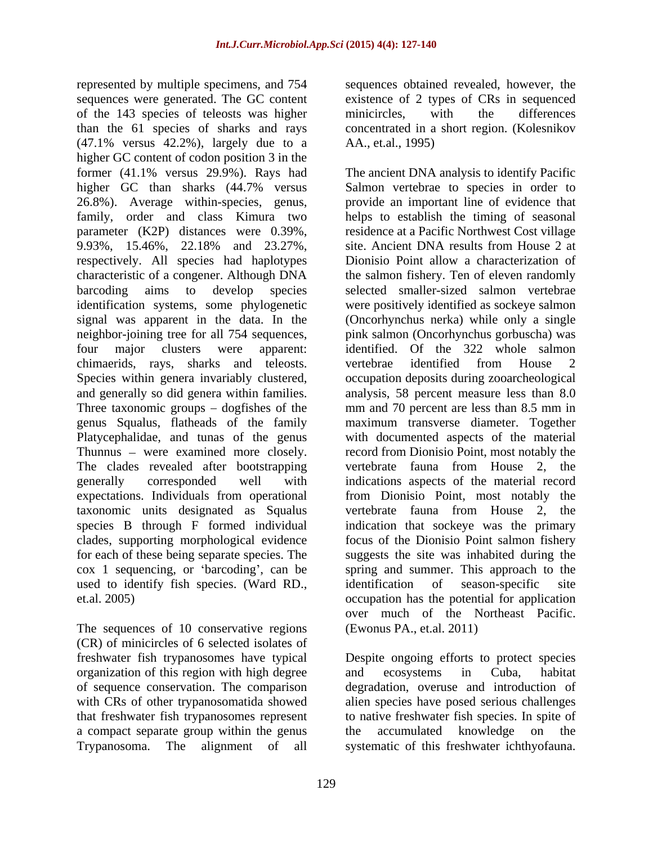represented by multiple specimens, and 754 sequences obtained revealed, however, the sequences were generated. The GC content of the 143 species of teleosts was higher than the 61 species of sharks and rays concentrated in a short region. (Kolesnikov  $(47.1\%$  versus  $42.2\%$ ), largely due to a higher GC content of codon position 3 in the 26.8%). Average within-species, genus, family, order and class Kimura two parameter (K2P) distances were 0.39%, respectively. All species had haplotypes characteristic of a congener. Although DNA chimaerids, rays, sharks and teleosts. taxonomic units designated as Squalus used to identify fish species. (Ward RD., identification of season-specific site

The sequences of 10 conservative regions (CR) of minicircles of 6 selected isolates of organization of this region with high degree and ecosystems in Cuba, habitat of sequence conservation. The comparison degradation, overuse and introduction of that freshwater fish trypanosomes represent a compact separate group within the genus the accumulated knowledge on the Trypanosoma. The alignment of all systematic of this freshwater ichthyofauna.

existence of 2 types of CRs in sequenced minicircles, with the differences AA., et.al., 1995)

former (41.1% versus 29.9%). Rays had The ancient DNA analysis to identify Pacific higher GC than sharks (44.7% versus Salmon vertebrae to species in order to family, order and class Kimura two helps to establish the timing of seasonal 9.93%, 15.46%, 22.18% and 23.27%, barcoding aims to develop species selected smaller-sized salmon vertebrae identification systems, some phylogenetic were positively identified as sockeye salmon signal was apparent in the data. In the (Oncorhynchus nerka) while only a single neighbor-joining tree for all 754 sequences, pink salmon (Oncorhynchus gorbuscha) was four major clusters were apparent: identified. Of the 322 whole salmon Species within genera invariably clustered, occupation deposits during zooarcheological and generally so did genera within families. analysis, 58 percent measure less than 8.0 Three taxonomic groups  $-$  dogfishes of the mm and 70 percent are less than 8.5 mm in genus Squalus, flatheads of the family maximum transverse diameter. Together Platycephalidae, and tunas of the genus with documented aspects of the material Thunnus – were examined more closely. record from Dionisio Point, most notably the The clades revealed after bootstrapping vertebrate fauna from House 2, the generally corresponded well with indications aspects of the material record expectations. Individuals from operational from Dionisio Point, most notably the species B through F formed individual indication that sockeye was the primary clades, supporting morphological evidence focus of the Dionisio Point salmon fishery for each of these being separate species. The suggests the site was inhabited during the cox 1 sequencing, or barcoding , can be spring and summer. This approach to the et.al. 2005) occupation has the potential for application provide an important line of evidence that residence at a Pacific Northwest Cost village site. Ancient DNA results from House 2 at Dionisio Point allow a characterization of the salmon fishery. Ten of eleven randomly vertebrae identified from House 2 vertebrate fauna from House 2, the identification of season-specific site over much of the Northeast Pacific. (Ewonus PA., et.al. 2011)

freshwater fish trypanosomes have typical Despite ongoing efforts to protect species of sequence conservation. The comparison degradation, overuse and introduction of with CRs of other trypanosomatida showed alien species have posed serious challenges and ecosystems in Cuba, habitat to native freshwater fish species. In spite of the accumulated knowledge on the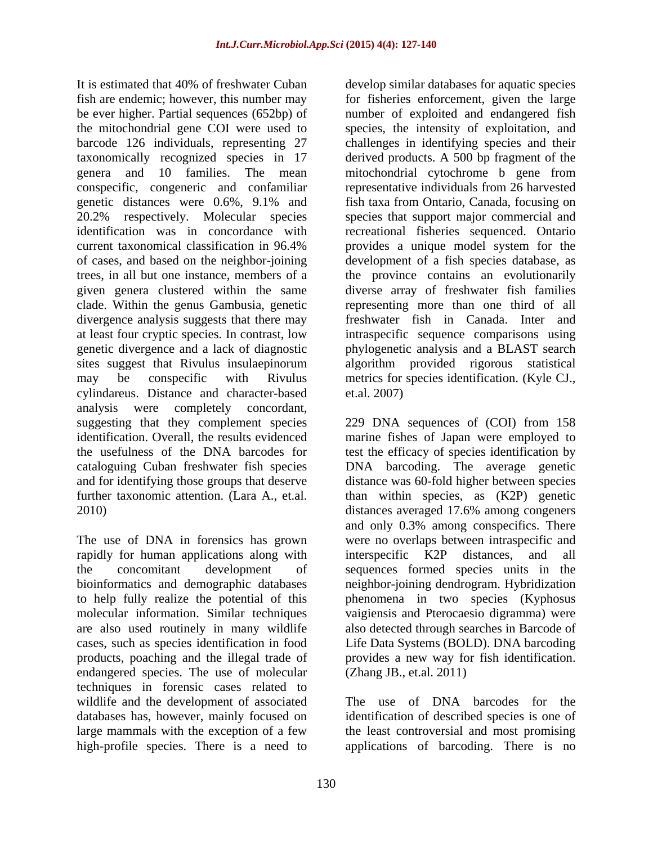be ever higher. Partial sequences (652bp) of taxonomically recognized species in 17 conspecific, congeneric and confamiliar divergence analysis suggests that there may cylindareus. Distance and character-based analysis were completely concordant, 2010) distances averaged 17.6% among congeners

rapidly for human applications along with interspecific K2P distances, and all endangered species. The use of molecular techniques in forensic cases related to wildlife and the development of associated databases has, however, mainly focused on identification of described species is one of large mammals with the exception of a few the least controversial and most promising

It is estimated that 40% of freshwater Cuban develop similar databases for aquatic species fish are endemic; however, this number may for fisheries enforcement, given the large the mitochondrial gene COI were used to species, the intensity of exploitation, and barcode 126 individuals, representing 27 challenges in identifying species and their genera and 10 families. The mean mitochondrial cytochrome b gene from genetic distances were 0.6%, 9.1% and fish taxa from Ontario, Canada, focusing on 20.2% respectively. Molecular species species that support major commercial and identification was in concordance with recreational fisheries sequenced. Ontario current taxonomical classification in 96.4% provides a unique model system for the of cases, and based on the neighbor-joining development of a fish species database, as trees, in all but one instance, members of a the province contains an evolutionarily given genera clustered within the same diverse array of freshwater fish families clade. Within the genus Gambusia, genetic representing more than one third of all at least four cryptic species. In contrast, low intraspecific sequence comparisons using genetic divergence and a lack of diagnostic phylogenetic analysis and a BLAST search sites suggest that Rivulus insulaepinorum algorithm provided rigorous statistical may be conspecific with Rivulus metrics for species identification. (Kyle CJ., number of exploited and endangered fish derived products. A 500 bp fragment of the representative individuals from 26 harvested fish taxa from Ontario, Canada, focusing on freshwater fish in Canada. Inter and et.al. 2007)

suggesting that they complement species 229 DNA sequences of (COI) from 158 identification. Overall, the results evidenced marine fishes of Japan were employed to the usefulness of the DNA barcodes for test the efficacy of species identification by cataloguing Cuban freshwater fish species DNA barcoding. The average genetic and for identifying those groups that deserve distance was 60-fold higher between species further taxonomic attention. (Lara A., et.al. than within species, as (K2P) genetic The use of DNA in forensics has grown were no overlaps between intraspecific and the concomitant development of sequences formed species units in the bioinformatics and demographic databases neighbor-joining dendrogram. Hybridization to help fully realize the potential of this phenomena in two species (Kyphosus molecular information. Similar techniques vaigiensis and Pterocaesio digramma) were are also used routinely in many wildlife also detected through searches in Barcode of cases, such as species identification in food Life Data Systems (BOLD). DNA barcoding products, poaching and the illegal trade of provides a new way for fish identification. distances averaged 17.6% among congeners and only 0.3% among conspecifics. There interspecific K2P distances, and all (Zhang JB., et.al. 2011)

high-profile species. There is a need to applications of barcoding. There is noThe use of DNA barcodes for the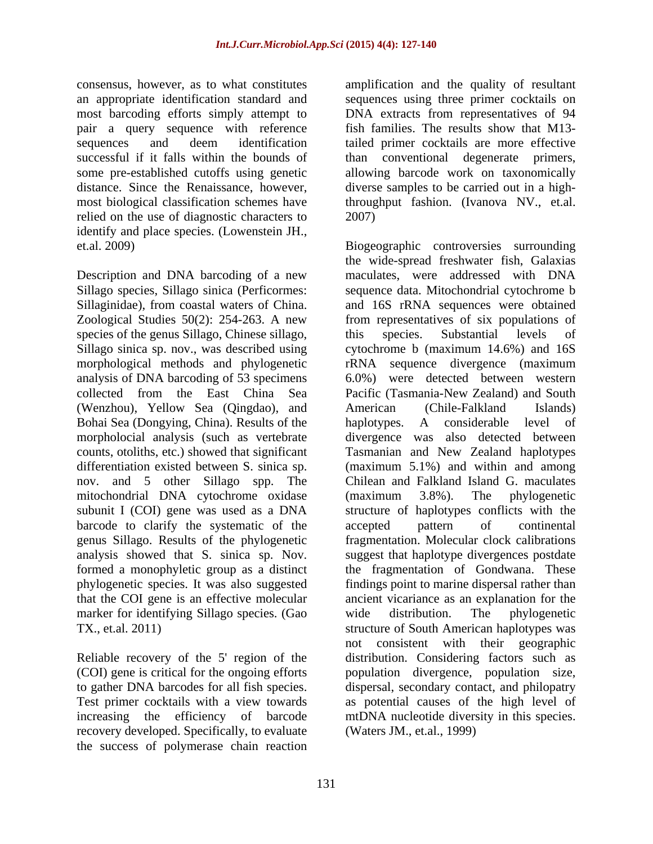consensus, however, as to what constitutes amplification and the quality of resultant an appropriate identification standard and sequences using three primer cocktails on most barcoding efforts simply attempt to pair a query sequence with reference fish families. The results show that M13 sequences and deem identification tailed primer cocktails are more effective successful if it falls within the bounds of some pre-established cutoffs using genetic allowing barcode work on taxonomically distance. Since the Renaissance, however, diverse samples to be carried out in a highmost biological classification schemes have throughput fashion. (Ivanova NV., et.al. relied on the use of diagnostic characters to 2007) identify and place species. (Lowenstein JH.,

Description and DNA barcoding of a new Sillago species, Sillago sinica (Perficormes: species of the genus Sillago, Chinese sillago, this species. Substantial levels of Sillago sinica sp. nov., was described using (Wenzhou), Yellow Sea (Qingdao), and Bohai Sea (Dongying, China). Results of the haplotypes. A considerable level of morpholocial analysis (such as vertebrate mitochondrial DNA cytochrome oxidase (maximum 3.8%). The phylogenetic barcode to clarify the systematic of the accepted pattern of continental genus Sillago. Results of the phylogenetic fragmentation. Molecular clock calibrations marker for identifying Sillago species. (Gao wide distribution. The phylogenetic

(COI) gene is critical for the ongoing efforts population divergence, population size, to gather DNA barcodes for all fish species. dispersal, secondary contact, and philopatry to gather DNA barcodes for all fish species. dispersal, secondary contact, and philopatry<br>Test primer cocktails with a view towards as potential causes of the high level of recovery developed. Specifically, to evaluate the success of polymerase chain reaction

DNA extracts from representatives of 94 conventional degenerate primers, 2007)

et.al. 2009) Biogeographic controversies surrounding Sillaginidae), from coastal waters of China. and 16S rRNA sequences were obtained Zoological Studies 50(2): 254-263. A new from representatives of six populations of morphological methods and phylogenetic rRNA sequence divergence (maximum analysis of DNA barcoding of 53 specimens 6.0%) were detected between western collected from the East China Sea Pacific (Tasmania-New Zealand) and South counts, otoliths, etc.) showed that significant Tasmanian and New Zealand haplotypes differentiation existed between S. sinica sp. (maximum 5.1%) and within and among nov. and 5 other Sillago spp. The Chilean and Falkland Island G. maculates subunit I (COI) gene was used as a DNA structure of haplotypes conflicts with the genus Sillago. Results of the phylogenetic fragmentation. Molecular clock calibrations analysis showed that S. sinica sp. Nov. suggest that haplotype divergences postdate formed a monophyletic group as a distinct the fragmentation of Gondwana. These phylogenetic species. It was also suggested findings point to marine dispersal rather than that the COI gene is an effective molecular ancient vicariance as an explanation for the TX., et.al. 2011) structure of South American haplotypes was Reliable recovery of the 5' region of the distribution. Considering factors such as Test primer cocktails with a view towards as potential causes of the high level of increasing the efficiency of barcode mtDNA nucleotide diversity in this species. the wide-spread freshwater fish, Galaxias maculates, were addressed with DNA sequence data. Mitochondrial cytochrome b this species. Substantial levels of cytochrome b (maximum 14.6%) and 16S American (Chile-Falkland Islands) haplotypes. A considerable level of divergence was also detected between (maximum 3.8%). The phylogenetic accepted pattern of continental wide distribution. The phylogenetic not consistent with their geographic population divergence, population size, dispersal, secondary contact, and philopatry (Waters JM., et.al., 1999)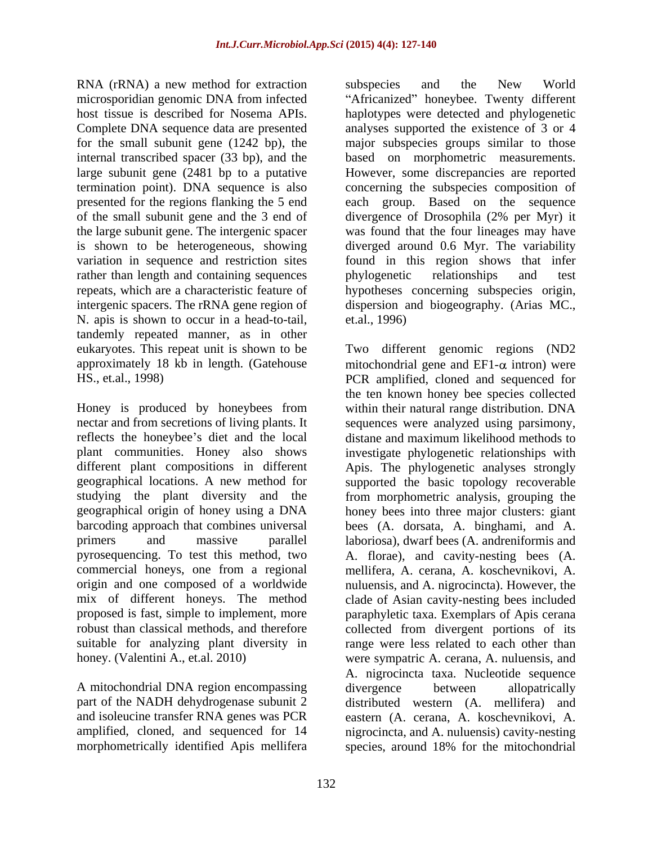RNA (rRNA) a new method for extraction subspecies and the New World for the small subunit gene (1242 bp), the rather than length and containing sequences by phylogenetic relationships and test N. apis is shown to occur in a head-to-tail, tandemly repeated manner, as in other

A mitochondrial DNA region encompassing divergence between allopatrically part of the NADH dehydrogenase subunit 2

microsporidian genomic DNA from infected "Africanized" honeybee. Twenty different host tissue is described for Nosema APIs. haplotypes were detected and phylogenetic Complete DNA sequence data are presented analyses supported the existence of 3 or 4 internal transcribed spacer (33 bp), and the based on morphometric measurements. large subunit gene (2481 bp to a putative However, some discrepancies are reported termination point). DNA sequence is also concerning the subspecies composition of presented for the regions flanking the 5 end each group. Based on the sequence of the small subunit gene and the 3 end of divergence of Drosophila (2% per Myr) it the large subunit gene. The intergenic spacer was found that the four lineages may have is shown to be heterogeneous, showing diverged around 0.6 Myr. The variability variation in sequence and restriction sites found in this region shows that infer repeats, which are a characteristic feature of hypotheses concerning subspecies origin, intergenic spacers. The rRNA gene region of dispersion and biogeography. (Arias MC., subspecies and the New World major subspecies groups similar to those phylogenetic relationships and test et.al., 1996)

eukaryotes. This repeat unit is shown to be Two different genomic regions (ND2 approximately 18 kb in length. (Gatehouse mitochondrial gene and  $EFL-\alpha$  intron) were HS., et.al., 1998) PCR amplified, cloned and sequenced for Honey is produced by honeybees from within their natural range distribution. DNA nectar and from secretions of living plants. It sequences were analyzed using parsimony, reflects the honeybee's diet and the local distane and maximum likelihood methods to plant communities. Honey also shows investigate phylogenetic relationships with different plant compositions in different Apis. The phylogenetic analyses strongly geographical locations. A new method for supported the basic topology recoverable studying the plant diversity and the from morphometric analysis, grouping the geographical origin of honey using a DNA honey bees into three major clusters: giant barcoding approach that combines universal bees (A. dorsata, A. binghami, and A. primers and massive parallel laboriosa), dwarf bees (A. andreniformis and pyrosequencing. To test this method, two A. florae), and cavity-nesting bees (A. commercial honeys, one from a regional mellifera, A. cerana, A. koschevnikovi, A. origin and one composed of a worldwide nuluensis, and A. nigrocincta). However, the mix of different honeys. The method clade of Asian cavity-nesting bees included proposed is fast, simple to implement, more paraphyletic taxa. Exemplars of Apis cerana robust than classical methods, and therefore collected from divergent portions of its suitable for analyzing plant diversity in range were less related to each other than honey. (Valentini A., et.al. 2010) were sympatric A. cerana, A. nuluensis, and and isoleucine transfer RNA genes was PCR eastern (A. cerana, A. koschevnikovi, A. amplified, cloned, and sequenced for 14 nigrocincta, and A. nuluensis) cavity-nesting morphometrically identified Apis mellifera species, around 18% for the mitochondrialthe ten known honey bee species collected A. nigrocincta taxa. Nucleotide sequence divergence between allopatrically distributed western (A. mellifera) and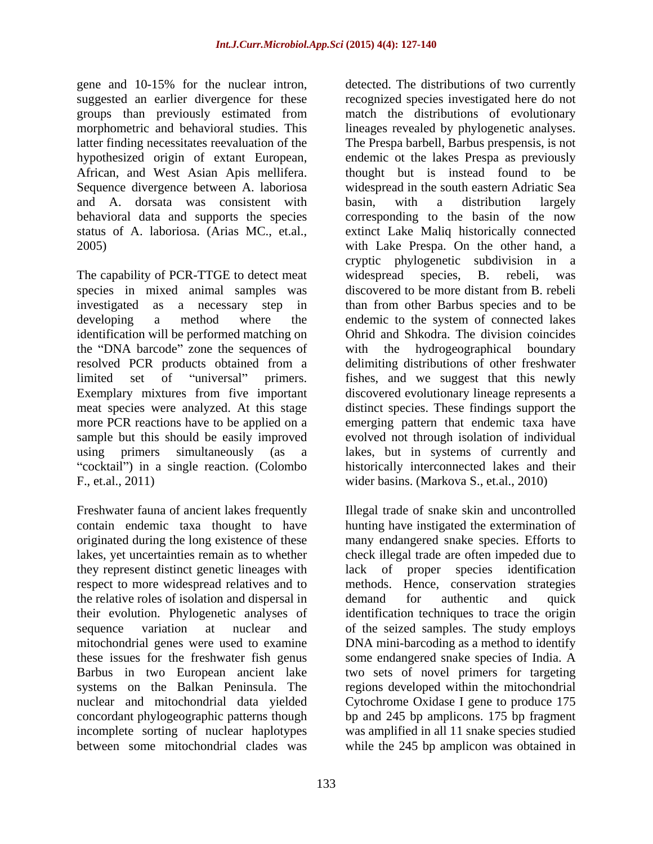groups than previously estimated from hypothesized origin of extant European, and A. dorsata was consistent with basin, with a distribution largely

The capability of PCR-TTGE to detect meat widespread species, B. rebeli, was species in mixed animal samples was discovered to be more distant from B. rebeli identification will be performed matching on the "DNA barcode" zone the sequences of with the F., et.al., 2011) wider basins. (Markova S., et.al., 2010)

they represent distinct genetic lineages with the relative roles of isolation and dispersal in concordant phylogeographic patterns though between some mitochondrial clades was while the 245 bp amplicon was obtained in

gene and 10-15% for the nuclear intron, detected. The distributions of two currently suggested an earlier divergence for these recognized species investigated here do not morphometric and behavioral studies. This lineages revealed by phylogenetic analyses. latter finding necessitates reevaluation of the The Prespa barbell, Barbus prespensis, is not African, and West Asian Apis mellifera. thought but is instead found to be Sequence divergence between A. laboriosa widespread in the south eastern Adriatic Sea behavioral data and supports the species corresponding to the basin of the now status of A. laboriosa. (Arias MC., et.al., extinct Lake Maliq historically connected 2005) with Lake Prespa. On the other hand, a investigated as a necessary step in than from other Barbus species and to be developing a method where the endemic to the system of connected lakes resolved PCR products obtained from a delimiting distributions of other freshwater limited set of "universal" primers. fishes, and we suggest that this newly Exemplary mixtures from five important discovered evolutionary lineage represents a meat species were analyzed. At this stage distinct species. These findings support the more PCR reactions have to be applied on a emerging pattern that endemic taxa have sample but this should be easily improved evolved not through isolation of individual using primers simultaneously (as a lakes, butin systems of currently and cocktail") in a single reaction. (Colombo historically interconnected lakes and their match the distributions of evolutionary endemic ot the lakes Prespa as previously basin, with a distribution largely cryptic phylogenetic subdivision in a widespread species, B. rebeli, was discovered to be more distant from B. rebeli Ohrid and Shkodra. The division coincides hydrogeographical boundary

Freshwater fauna of ancient lakes frequently Illegal trade of snake skin and uncontrolled contain endemic taxa thought to have hunting have instigated the extermination of originated during the long existence of these many endangered snake species. Efforts to lakes, yet uncertainties remain as to whether check illegal trade are often impeded due to respect to more widespread relatives and to methods. Hence, conservation strategies their evolution. Phylogenetic analyses of identification techniques to trace the origin sequence variation at nuclear and of the seized samples. The study employs mitochondrial genes were used to examine DNA mini-barcoding as a method to identify these issues for the freshwater fish genus some endangered snake species of India. A Barbus in two European ancient lake two sets of novel primers for targeting systems on the Balkan Peninsula. The regions developed within the mitochondrial nuclear and mitochondrial data yielded Cytochrome Oxidase I gene to produce 175 incomplete sorting of nuclear haplotypes was amplified in all 11 snake species studied lack of proper species identification demand for authentic and quick bp and 245 bp amplicons. 175 bp fragment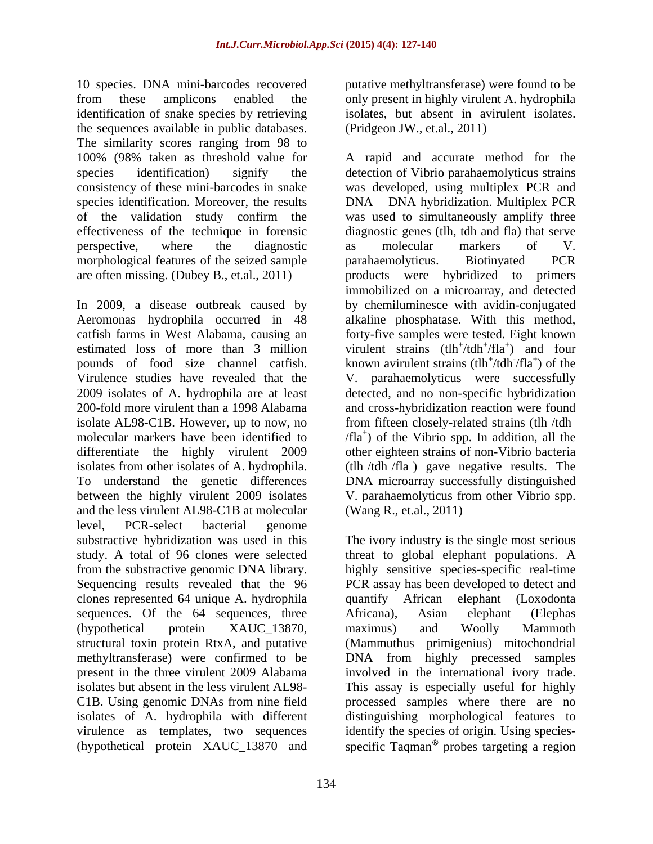10 species. DNA mini-barcodes recovered putative methyltransferase) were found to be from these amplicons enabled the only present in highly virulent A. hydrophila identification of snake species by retrieving the sequences available in public databases. The similarity scores ranging from 98 to species identification. Moreover, the results morphological features of the seized sample barahaemolyticus. Biotinyated PCR

In 2009, a disease outbreak caused by by chemiluminesce with avidin-conjugated Aeromonas hydrophila occurred in 48 alkaline phosphatase. With this method, catfish farms in West Alabama, causing an forty-five samples were tested. Eight known estimated loss of more than 3 million pounds of food size channel catfish. Virulence studies have revealed that the V. parahaemolyticus were successfully 2009 isolates of A. hydrophila are at least detected, and no non-specific hybridization 200-fold more virulent than a 1998 Alabama and cross-hybridization reaction were found isolate AL98-C1B. However, up to now, no from fifteen closely-related strains (tlh<sup>-</sup>/tdh<sup>-</sup> molecular markers have been identified to  $/fla^+$ ) of the Vibrio spp. In addition, all the differentiate the highly virulent 2009 other eighteen strains of non-Vibrio bacteria isolates from other isolates of A. hydrophila.  $(tlh^-/tdh^-/fla^-)$  gave negative results. The To understand the genetic differences DNA microarray successfully distinguished between the highly virulent 2009 isolates V. parahaemolyticus from other Vibrio spp. and the less virulent AL98-C1B at molecular level, PCR-select bacterial genome substractive hybridization was used in this The ivory industry is the single most serious study. A total of 96 clones were selected threat to global elephant populations. A from the substractive genomic DNA library. highly sensitive species-specific real-time Sequencing results revealed that the 96 PCR assay has been developed to detect and clones represented 64 unique A. hydrophila sequences. Of the 64 sequences, three Africana), Asian elephant (Elephas (hypothetical protein XAUC\_13870, structural toxin protein RtxA, and putative (Mammuthus primigenius) mitochondrial methyltransferase) were confirmed to be DNA from highly precessed samples present in the three virulent 2009 Alabama involved in the international ivory trade. isolates but absent in the less virulent AL98- This assay is especially useful for highly C1B. Using genomic DNAs from nine field processed samples where there are no isolates of A. hydrophila with different distinguishing morphological features to virulence as templates, two sequences identify the species of origin. Using species-

isolates, but absent in avirulent isolates. (Pridgeon JW., et.al., 2011)

100% (98% taken as threshold value for A rapid and accurate method for the species identification) signify the detection of Vibrio parahaemolyticus strains consistency of these mini-barcodes in snake was developed, using multiplex PCR and of the validation study confirm the was used to simultaneously amplify three effectiveness of the technique in forensic diagnostic genes (tlh, tdh and fla) that serve perspective, where the diagnostic as molecular markers of V. are often missing. (Dubey B., et.al., 2011) products were hybridized to primers DNA - DNA hybridization. Multiplex PCR as molecular markers of V. parahaemolyticus. Biotinyated PCR immobilized on a microarray, and detected virulent strains  $(tlh^+/tlh^+)$  and four  $/\text{tdh}^+/\text{fla}^+$  and four  $/$ fla<sup>+</sup> $)$  and four ) and four known avirulent strains  $(tlh^{\dagger}/tdh^{\dagger}/fla^{\dagger})$  of the  $/\text{tdh}/\text{fla}^+$  of the  $/\text{fla}^+$ ) of the ) of the (Wang R., et.al., 2011)

(hypothetical protein  $XAUC_13870$  and specific Taqman<sup>®</sup> probes targeting a region quantify African elephant (Loxodonta Africana), Asian elephant (Elephas maximus) and Woolly Mammoth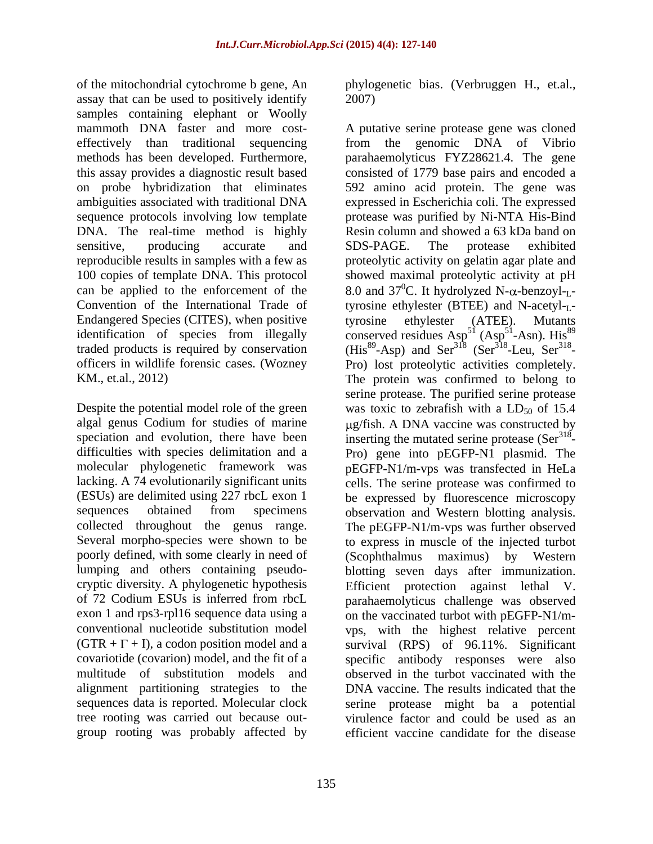of the mitochondrial cytochrome b gene, An phylogenetic bias. (Verbruggen H., et.al., assay that can be used to positively identify 2007) samples containing elephant or Woolly DNA. The real-time method is highly Convention of the International Trade of Endangered Species (CITES), when positive tyrosine ethylester (ATEE). Mutants

poorly defined, with some clearly in need of (Scophthalmus maximus) by Western cryptic diversity. A phylogenetic hypothesis Efficient protection against lethal V. tree rooting was carried out because out group rooting was probably affected by

2007)

mammoth DNA faster and more cost- A putative serine protease gene was cloned effectively than traditional sequencing from the genomic DNA of Vibrio methods has been developed. Furthermore, parahaemolyticus FYZ28621.4. The gene this assay provides a diagnostic result based consisted of 1779 base pairs and encoded a on probe hybridization that eliminates 592 amino acid protein. The gene was ambiguities associated with traditional DNA expressed in Escherichia coli. The expressed sequence protocols involving low template protease was purified by Ni-NTA His-Bind sensitive, producing accurate and SDS-PAGE. The protease exhibited reproducible results in samples with a few as proteolytic activity on gelatin agar plate and 100 copies of template DNA. This protocol showed maximal proteolytic activity at pH can be applied to the enforcement of the  $8.0$  and  $37^{\circ}$ C. It hydrolyzed N- $\alpha$ -benzoyl-<sub>L</sub>identification of species from illegally conserved residues Asp<sup>51</sup> (Asp<sup>51</sup>-Asn). His<sup>89</sup> traded products is required by conservation  $(His^{89} - Asp)$  and  $Ser^{318}$  (Ser<sup>318</sup>-Leu, Ser<sup>318</sup>officers in wildlife forensic cases. (Wozney Pro) lost proteolytic activities completely. KM., et.al., 2012) The protein was confirmed to belong to Despite the potential model role of the green was toxic to zebrafish with a  $LD_{50}$  of 15.4 algal genus Codium for studies of marine  $\mu$ g/fish. A DNA vaccine was constructed by speciation and evolution, there have been inserting the mutated serine protease  $(Ser<sup>318</sup>$ difficulties with species delimitation and a Pro) gene into pEGFP-N1 plasmid. The molecular phylogenetic framework was pEGFP-N1/m-vps was transfected in HeLa lacking. A 74 evolutionarily significant units cells. The serine protease was confirmed to (ESUs) are delimited using 227 rbcL exon 1 be expressed by fluorescence microscopy sequences obtained from specimens observation and Western blotting analysis. collected throughout the genus range. The pEGFP-N1/m-vps was further observed Several morpho-species were shown to be to express in muscle of the injected turbot lumping and others containing pseudo- blotting seven days after immunization. of 72 Codium ESUs is inferred from rbcL parahaemolyticus challenge was observed exon 1 and rps3-rpl16 sequence data using a on the vaccinated turbot with pEGFP-N1/m conventional nucleotide substitution model vps, with the highest relative percent  $(GTR + \Gamma + I)$ , a codon position model and a survival (RPS) of 96.11%. Significant covariotide (covarion) model, and the fit of a specific antibody responses were also multitude of substitution models and observed in the turbot vaccinated with the alignment partitioning strategies to the DNA vaccine. The results indicated that the sequences data is reported. Molecular clock serine protease might ba a potential Resin column and showed a 63 kDa band on SDS-PAGE. The protease exhibited tyrosine ethylester (BTEE) and N-acetyl- $I$ tyrosine ethylester (ATEE). Mutants conserved residues  $Asp^{51} (Asp^{51}-Asn)$ . His<sup>89</sup> <sup>51</sup> (Asp<sup>51</sup>-Asn). His<sup>89</sup>  $51 \text{ A}$  cm  $\text{Li}_2$ <sup>89</sup>  $-Asn$ ). His<sup>89</sup> (His<sup>89</sup>-Asp) and Ser<sup>318</sup> (Ser<sup>318</sup>-Leu, Ser<sup>318</sup>--Leu,  $\text{Ser}^{318}$ - serine protease. The purified serine protease - (Scophthalmus maximus) by Western Efficient protection against lethal virulence factor and could be used as an efficient vaccine candidate for the disease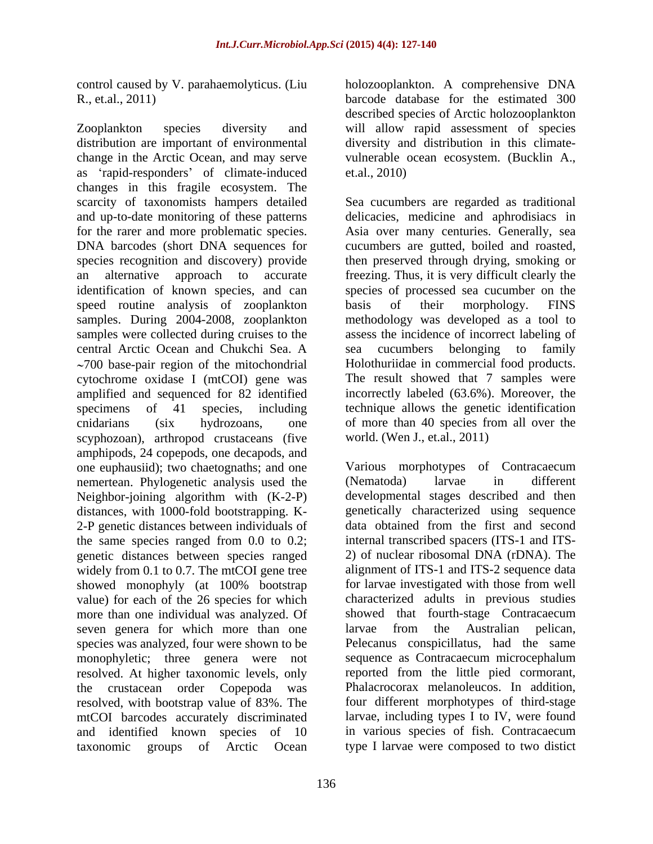control caused by V. parahaemolyticus. (Liu

Zooplankton species diversity and will allow rapid assessment of species distribution are important of environmental diversity and distribution in this climate change in the Arctic Ocean, and may serve as 'rapid-responders' of climate-induced et.al., 2010) changes in this fragile ecosystem. The scarcity of taxonomists hampers detailed Sea cucumbers are regarded as traditional and up-to-date monitoring of these patterns delicacies, medicine and aphrodisiacs in for the rarer and more problematic species. Asia over many centuries. Generally, sea DNA barcodes (short DNA sequences for cucumbers are gutted, boiled and roasted, species recognition and discovery) provide then preserved through drying, smoking or an alternative approach to accurate freezing. Thus, it is very difficult clearly the identification of known species, and can species of processed sea cucumber on the speed routine analysis of zooplankton basis of their morphology. FINS samples. During 2004-2008, zooplankton methodology was developed as a tool to samples were collected during cruises to the assess the incidence of incorrect labeling of central Arctic Ocean and Chukchi Sea. A  $\sim$ 700 base-pair region of the mitochondrial cytochrome oxidase I (mtCOI) gene was amplified and sequenced for 82 identified specimens of 41 species, including technique allows the genetic identification cnidarians (six hydrozoans, one of more than 40 species from all over the scyphozoan), arthropod crustaceans (five amphipods, 24 copepods, one decapods, and one euphausiid); two chaetognaths; and one Various morphotypes of Contracaecum<br>
nemertean. Phylogenetic analysis used the (Nematoda) larvae in different nemertean. Phylogenetic analysis used the (Nematoda) larvae in different Neighbor-joining algorithm with (K-2-P) distances, with 1000-fold bootstrapping. K- 2-P genetic distances between individuals of the same species ranged from 0.0 to 0.2; genetic distances between species ranged widely from 0.1 to 0.7. The mtCOI gene tree showed monophyly (at 100% bootstrap value) for each of the 26 species for which more than one individual was analyzed. Of seven genera for which more than one larvae from the Australian pelican, species was analyzed, four were shown to be monophyletic; three genera were not resolved. At higher taxonomic levels, only the crustacean order Copepoda was Phalacrocorax melanoleucos. In addition, resolved, with bootstrap value of 83%. The mtCOI barcodes accurately discriminated and identified known species of 10 taxonomic groups of Arctic Ocean type I larvae were composed to two distict

R., et.al., 2011) barcode database for the estimated 300 holozooplankton. A comprehensive DNA described species of Arctic holozooplankton vulnerable ocean ecosystem. (Bucklin A., et.al., 2010)

> basis of their morphology. FINS sea cucumbers belonging to family Holothuriidae in commercial food products. The result showed that 7 samples were incorrectly labeled (63.6%). Moreover, the world. (Wen J., et.al., 2011)

Various morphotypes of Contracaecum (Nematoda) larvae in different developmental stages described and then genetically characterized using sequence data obtained from the first and second internal transcribed spacers (ITS-1 and ITS- 2) of nuclear ribosomal DNA (rDNA). The alignment of ITS-1 and ITS-2 sequence data for larvae investigated with those from well characterized adults in previous studies showed that fourth-stage Contracaecum larvae from the Australian pelican, Pelecanus conspicillatus, had the same sequence as Contracaecum microcephalum reported from the little pied cormorant, four different morphotypes of third-stage larvae, including types I to IV, were found in various species of fish. Contracaecum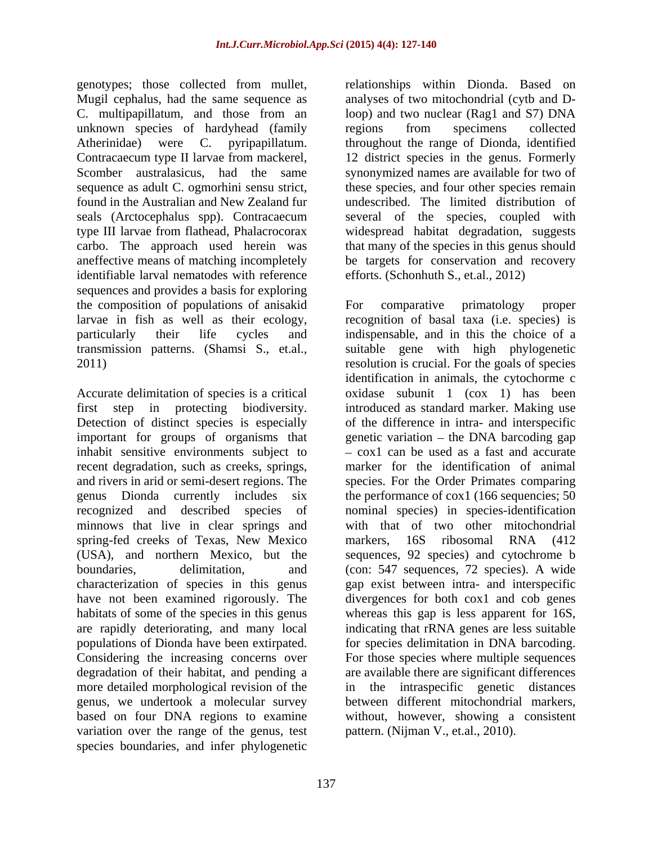Mugil cephalus, had the same sequence as unknown species of hardyhead (family regions from specimens collected identifiable larval nematodes with reference sequences and provides a basis for exploring the composition of populations of anisakid

important for groups of organisms that inhabit sensitive environments subject to minnows that live in clear springs and spring-fed creeks of Texas, New Mexico markers, 16S ribosomal RNA (412) characterization of species in this genus more detailed morphological revision of the variation over the range of thegenus, test species boundaries, and infer phylogenetic

genotypes; those collected from mullet, relationships within Dionda. Based on C. multipapillatum, and those from an loop) and two nuclear (Rag1 and S7) DNA Atherinidae) were C. pyripapillatum. throughout the range of Dionda, identified Contracaecum type II larvae from mackerel, 12 district species in the genus. Formerly Scomber australasicus, had the same synonymized names are available for two of sequence as adult C. ogmorhini sensu strict, these species, and four other species remain found in the Australian and New Zealand fur undescribed. The limited distribution of seals (Arctocephalus spp). Contracaecum several of the species, coupled with type III larvae from flathead, Phalacrocorax widespread habitat degradation, suggests carbo. The approach used herein was that many of the species in this genus should aneffective means of matching incompletely be targets for conservation and recovery analyses of two mitochondrial (cytb and Dregions from specimens collected efforts. (Schonhuth S., et.al., 2012)

larvae in fish as well as their ecology, recognition of basal taxa (i.e. species) is particularly their life cycles and indispensable, and in this the choice of a transmission patterns. (Shamsi S., et.al., suitable gene with high phylogenetic resolution is crucial. For the goals of species Accurate delimitation of species is a critical oxidase subunit 1 (cox 1) has been first step in protecting biodiversity. introduced as standard marker. Making use Detection of distinct species is especially of the difference in intra- and interspecific recent degradation, such as creeks, springs, marker for the identification of animal and rivers in arid or semi-desert regions. The species. For the Order Primates comparing genus Dionda currently includes six the performance of cox1 (166 sequencies; 50 recognized and described species of nominal species) in species-identification (USA), and northern Mexico, but the sequences, 92 species) and cytochrome b boundaries, delimitation, and (con: 547 sequences, 72 species). A wide have not been examined rigorously. The divergences for both cox1 and cob genes habitats of some of the species in this genus whereas this gap is less apparent for 16S, are rapidly deteriorating, and many local indicating that rRNA genes are less suitable populations of Dionda have been extirpated. for species delimitation in DNA barcoding. Considering the increasing concerns over For those species where multiple sequences degradation of their habitat, and pending a are available there are significant differences genus, we undertook a molecular survey between different mitochondrial markers, based on four DNA regions to examine without, however, showing a consistent For comparative primatology proper suitable gene with high phylogenetic resolution is crucial. For the goals of species identification in animals, the cytochorme c genetic variation  $-$  the DNA barcoding gap - cox1 can be used as a fast and accurate with that of two other mitochondrial markers, 16S ribosomal RNA (412 gap exist between intra- and interspecific in the intraspecific genetic distances pattern. (Nijman V., et.al., 2010).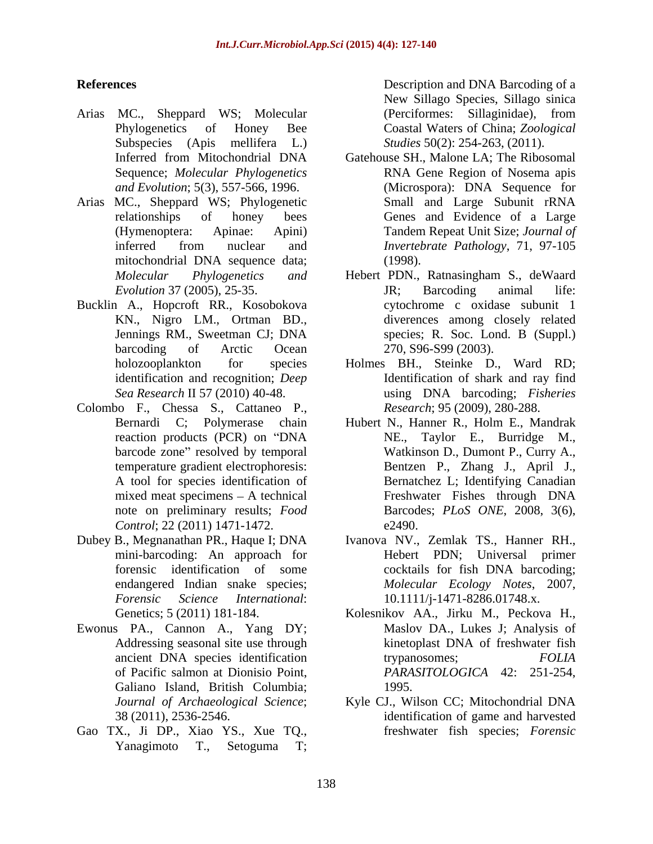- Arias MC., Sheppard WS; Molecular
- Arias MC., Sheppard WS; Phylogenetic Small and Large Subunit rRNA
- Bucklin A., Hopcroft RR., Kosobokova
- Colombo F., Chessa S., Cattaneo P., *Control*; 22 (2011) 1471-1472.
- 
- Ewonus PA., Cannon A., Yang DY; Galiano Island, British Columbia; 1995.
- Gao TX., Ji DP., Xiao YS., Xue TQ., Yanagimoto T., Setoguma T;

**References** Description and DNA Barcoding of a Phylogenetics of Honey Bee Coastal Waters of China; *Zoological*  Subspecies (Apis mellifera L.) *Studies* 50(2): 254-263, (2011). New Sillago Species, Sillago sinica (Perciformes: Sillaginidae), from

- Inferred from Mitochondrial DNA Gatehouse SH., Malone LA; The Ribosomal Sequence; *Molecular Phylogenetics* RNA Gene Region of Nosema apis *and Evolution*; 5(3), 557-566, 1996. (Microspora): DNA Sequence for relationships of honey bees Genes and Evidence of a Large (Hymenoptera: Apinae: Apini) Tandem Repeat Unit Size; *Journal of*  inferred from nuclear and *Invertebrate Pathology*, 71, 97-105 mitochondrial DNA sequence data; Small and Large Subunit rRNA *Invertebrate Pathology*, 71, 97-105 (1998).
- *Molecular Phylogenetics and* Hebert PDN., Ratnasingham S., deWaard *Evolution* 37 (2005), 25-35. KN., Nigro LM., Ortman BD., diverences among closely related Jennings RM., Sweetman CJ; DNA barcoding of Arctic Ocean 270, S96-S99 (2003). JR; Barcoding animal life: cytochrome c oxidase subunit 1 species; R. Soc. Lond. B (Suppl.) 270, S96-S99 (2003).
- holozooplankton for species Holmes BH., Steinke D., Ward RD; identification and recognition; *Deep*  Identification of shark and ray find *Sea Research* II 57 (2010) 40-48. using DNA barcoding; *Fisheries Research*; 95 (2009), 280-288.
- Bernardi C; Polymerase chain Hubert N., Hanner R., Holm E., Mandrak reaction products (PCR) on "DNA NE., Taylor E., Burridge M., barcode zone" resolved by temporal Watkinson D., Dumont P., Curry A., temperature gradient electrophoresis: Bentzen P., Zhang J., April J., A tool for species identification of Bernatchez L; Identifying Canadian mixed meat specimens – A technical Freshwater Fishes through DNA note on preliminary results; *Food*  Barcodes; *PLoS ONE*, 2008, 3(6), NE., Taylor E., Burridge M., Freshwater Fishes through DNA  $e2490.$
- Dubey B., Megnanathan PR., Haque I; DNA Ivanova NV., Zemlak TS., Hanner RH., mini-barcoding: An approach for Hebert PDN; Universal primer forensic identification of some cocktails for fish DNA barcoding; endangered Indian snake species; *Molecular Ecology Notes*, 2007, *Forensic Science International*: 10.1111/j-1471-8286.01748.x. cocktails for fish DNA barcoding;
	- Genetics; 5 (2011) 181-184. Kolesnikov AA., Jirku M., Peckova H., Addressing seasonal site use through kinetoplast DNA of freshwater fish ancient DNA species identification trypanosomes; and FOLIA of Pacific salmon at Dionisio Point, *PARASITOLOGICA* 42: 251-254, Maslov DA., Lukes J; Analysis of trypanosomes; *FOLIA*  1995.
	- *Journal of Archaeological Science*; Kyle CJ., Wilson CC; Mitochondrial DNA 38 (2011), 2536-2546. identification of game and harvested freshwater fish species; *Forensic*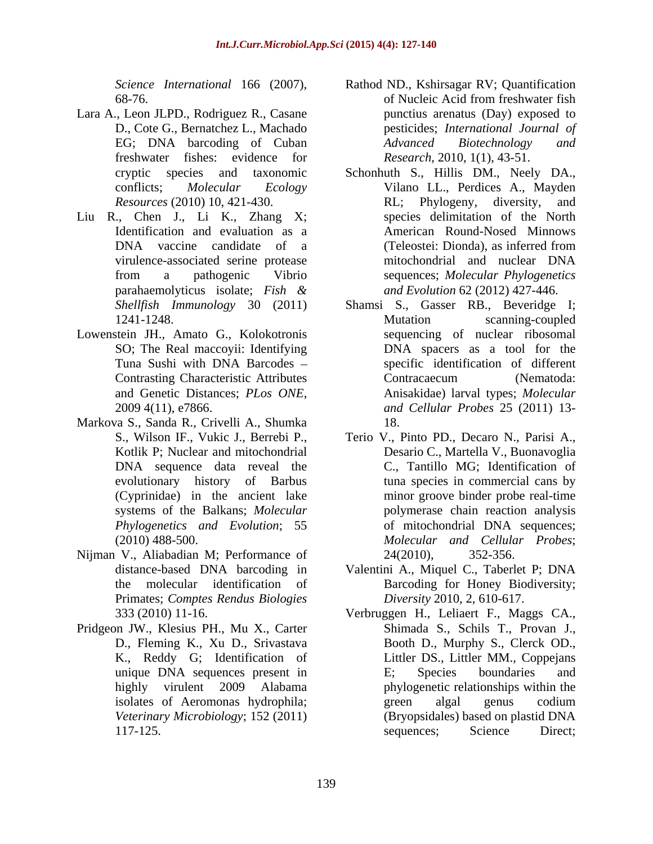- Lara A., Leon JLPD., Rodriguez R., Casane freshwater fishes: evidence for
- Liu R., Chen J., Li K., Zhang X;
- Lowenstein JH., Amato G., Kolokotronis SO; The Real maccoyii: Identifying
- Markova S., Sanda R., Crivelli A., Shumka (Cyprinidae) in the ancient lake
- Nijman V., Aliabadian M; Performance of 24(2010), 352-356. Primates; *Comptes Rendus Biologies*
- Pridgeon JW., Klesius PH., Mu X., Carter K., Reddy G; Identification of
- *Science International* 166 (2007), Rathod ND., Kshirsagar RV; Quantification 68-76.<br>68-76. of Nucleic Acid from freshwater fish D., Cote G., Bernatchez L., Machado pesticides; *International Journal of* EG; DNA barcoding of Cuban and Advanced Biotechnology and Rathod ND., Kshirsagar RV; Quantification of Nucleic Acid from freshwater fish punctius arenatus (Day) exposed to *Advanced Biotechnology and Research*, 2010, 1(1), 43-51.
- cryptic species and taxonomic Schonhuth S., Hillis DM., Neely DA., conflicts; *Molecular Ecology* Vilano LL., Perdices A., Mayden *Resources* (2010) 10, 421-430. Identification and evaluation as a American Round-Nosed Minnows DNA vaccine candidate of a (Teleostei: Dionda), as inferred from virulence-associated serine protease from a pathogenic Vibrio sequences; *Molecular Phylogenetics* parahaemolyticus isolate; *Fish &* RL; Phylogeny, diversity, and species delimitation of the North (Teleostei: Dionda), as inferred from mitochondrial and nuclear DNA *and Evolution* 62 (2012) 427-446.
- *Shellfish Immunology* 30 (2011) Shamsi S., Gasser RB., Beveridge I; 1241-1248. Mutation scanning-coupled Tuna Sushi with DNA Barcodes specific identification of different Contrasting Characteristic Attributes and Genetic Distances; *PLos ONE*, Anisakidae) larval types; *Molecular* 2009 4(11), e7866.<br>2009 4(11), e7866. Mutation scanning-coupled sequencing of nuclear ribosomal DNA spacers as a tool for the Contracaecum (Nematoda: Anisakidae) larval types; *Molecular and Cellular Probes* 25 (2011) 13- 18.
- S., Wilson IF., Vukic J., Berrebi P., Terio V., Pinto PD., Decaro N., Parisi A., Kotlik P; Nuclear and mitochondrial Desario C., Martella V., Buonavoglia DNA sequence data reveal the C., Tantillo MG; Identification of evolutionary history of Barbus tuna species in commercial cans by systems of the Balkans; *Molecular*  polymerase chain reaction analysis *Phylogenetics and Evolution*; 55 of mitochondrial DNA sequences; (2010) 488-500. *Molecular and Cellular Probes*; minor groove binder probe real-time 24(2010), 352-356.
- distance-based DNA barcoding in Valentini A., Miquel C., Taberlet P; DNA the molecular identification of Barcoding for Honey Biodiversity; *Diversity* 2010, 2, 610-617.
- 333 (2010) 11-16. Verbruggen H., Leliaert F., Maggs CA., D., Fleming K., Xu D., Srivastava Booth D., Murphy S., Clerck OD., unique DNA sequences present in E; Species boundaries and highly virulent 2009 Alabama phylogenetic relationships within the isolates of Aeromonas hydrophila; *Veterinary Microbiology*; 152 (2011) (Bryopsidales) based on plastid DNA 117-125. Sequences; Science Direct; Shimada S., Schils T., Provan J., Littler DS., Littler MM., Coppejans E; Species boundaries and green algal genus codium sequences; Science Direct;